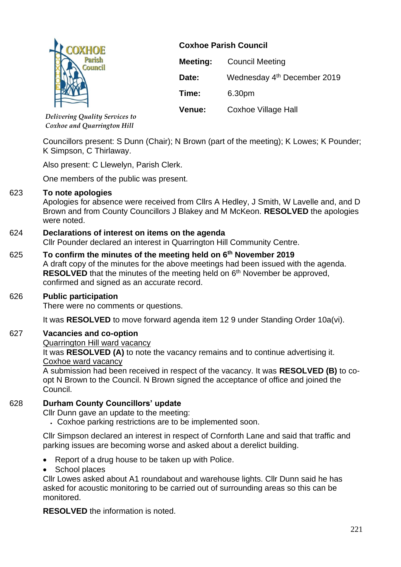

**Coxhoe Parish Council Meeting:** Council Meeting Date: Wednesday 4<sup>th</sup> December 2019 **Time:** 6.30pm **Venue:** Coxhoe Village Hall

*Delivering Quality Services to Coxhoe and Quarrington Hill*

Councillors present: S Dunn (Chair); N Brown (part of the meeting); K Lowes; K Pounder; K Simpson, C Thirlaway.

Also present: C Llewelyn, Parish Clerk.

One members of the public was present.

## 623 **To note apologies**

Apologies for absence were received from Cllrs A Hedley, J Smith, W Lavelle and, and D Brown and from County Councillors J Blakey and M McKeon. **RESOLVED** the apologies were noted.

## 624 **Declarations of interest on items on the agenda**

Cllr Pounder declared an interest in Quarrington Hill Community Centre.

625 **To confirm the minutes of the meeting held on 6th November 2019** A draft copy of the minutes for the above meetings had been issued with the agenda. **RESOLVED** that the minutes of the meeting held on 6<sup>th</sup> November be approved,

confirmed and signed as an accurate record.

## 626 **Public participation**

There were no comments or questions.

It was **RESOLVED** to move forward agenda item 12 9 under Standing Order 10a(vi).

## 627 **Vacancies and co-option**

Quarrington Hill ward vacancy

It was **RESOLVED (A)** to note the vacancy remains and to continue advertising it. Coxhoe ward vacancy

A submission had been received in respect of the vacancy. It was **RESOLVED (B)** to coopt N Brown to the Council. N Brown signed the acceptance of office and joined the Council.

# 628 **Durham County Councillors' update**

Cllr Dunn gave an update to the meeting:

• Coxhoe parking restrictions are to be implemented soon.

Cllr Simpson declared an interest in respect of Cornforth Lane and said that traffic and parking issues are becoming worse and asked about a derelict building.

- Report of a drug house to be taken up with Police.
- School places

Cllr Lowes asked about A1 roundabout and warehouse lights. Cllr Dunn said he has asked for acoustic monitoring to be carried out of surrounding areas so this can be monitored.

**RESOLVED** the information is noted.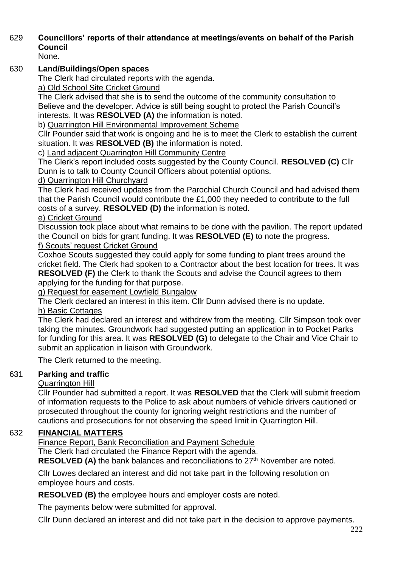# 629 **Councillors' reports of their attendance at meetings/events on behalf of the Parish Council**

None.

## 630 **Land/Buildings/Open spaces**

The Clerk had circulated reports with the agenda.

a) Old School Site Cricket Ground

The Clerk advised that she is to send the outcome of the community consultation to Believe and the developer. Advice is still being sought to protect the Parish Council's interests. It was **RESOLVED (A)** the information is noted.

b) Quarrington Hill Environmental Improvement Scheme

Cllr Pounder said that work is ongoing and he is to meet the Clerk to establish the current situation. It was **RESOLVED (B)** the information is noted.

c) Land adjacent Quarrington Hill Community Centre

The Clerk's report included costs suggested by the County Council. **RESOLVED (C)** Cllr Dunn is to talk to County Council Officers about potential options.

# d) Quarrington Hill Churchyard

The Clerk had received updates from the Parochial Church Council and had advised them that the Parish Council would contribute the £1,000 they needed to contribute to the full costs of a survey. **RESOLVED (D)** the information is noted.

# e) Cricket Ground

Discussion took place about what remains to be done with the pavilion. The report updated the Council on bids for grant funding. It was **RESOLVED (E)** to note the progress. f) Scouts' request Cricket Ground

Coxhoe Scouts suggested they could apply for some funding to plant trees around the cricket field. The Clerk had spoken to a Contractor about the best location for trees. It was **RESOLVED (F)** the Clerk to thank the Scouts and advise the Council agrees to them applying for the funding for that purpose.

g) Request for easement Lowfield Bungalow

The Clerk declared an interest in this item. Cllr Dunn advised there is no update.

# h) Basic Cottages

The Clerk had declared an interest and withdrew from the meeting. Cllr Simpson took over taking the minutes. Groundwork had suggested putting an application in to Pocket Parks for funding for this area. It was **RESOLVED (G)** to delegate to the Chair and Vice Chair to submit an application in liaison with Groundwork.

The Clerk returned to the meeting.

# 631 **Parking and traffic**

# Quarrington Hill

Cllr Pounder had submitted a report. It was **RESOLVED** that the Clerk will submit freedom of information requests to the Police to ask about numbers of vehicle drivers cautioned or prosecuted throughout the county for ignoring weight restrictions and the number of cautions and prosecutions for not observing the speed limit in Quarrington Hill.

# 632 **FINANCIAL MATTERS**

Finance Report, Bank Reconciliation and Payment Schedule

The Clerk had circulated the Finance Report with the agenda.

**RESOLVED (A)** the bank balances and reconciliations to 27<sup>th</sup> November are noted.

Cllr Lowes declared an interest and did not take part in the following resolution on employee hours and costs.

**RESOLVED (B)** the employee hours and employer costs are noted.

The payments below were submitted for approval.

Cllr Dunn declared an interest and did not take part in the decision to approve payments.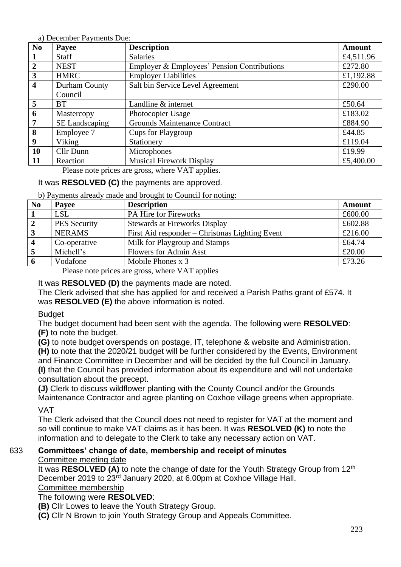a) December Payments Due:

| N <sub>0</sub>          | Payee          | <b>Description</b>                          | <b>Amount</b> |
|-------------------------|----------------|---------------------------------------------|---------------|
| $\mathbf{1}$            | Staff          | <b>Salaries</b>                             | £4,511.96     |
| $\overline{2}$          | <b>NEST</b>    | Employer & Employees' Pension Contributions | £272.80       |
| $\mathbf{3}$            | <b>HMRC</b>    | <b>Employer Liabilities</b>                 | £1,192.88     |
| $\overline{\mathbf{4}}$ | Durham County  | Salt bin Service Level Agreement            | £290.00       |
|                         | Council        |                                             |               |
| $\overline{5}$          | <b>BT</b>      | Landline & internet                         | £50.64        |
| 6                       | Mastercopy     | Photocopier Usage                           | £183.02       |
| $\overline{7}$          | SE Landscaping | <b>Grounds Maintenance Contract</b>         | £884.90       |
| 8                       | Employee 7     | Cups for Playgroup                          | £44.85        |
| $\boldsymbol{9}$        | Viking         | Stationery                                  | £119.04       |
| <b>10</b>               | Cllr Dunn      | Microphones                                 | £19.99        |
| <b>11</b>               | Reaction       | <b>Musical Firework Display</b>             | £5,400.00     |

Please note prices are gross, where VAT applies.

# It was **RESOLVED (C)** the payments are approved.

b) Payments already made and brought to Council for noting:

| N <sub>0</sub> | Payee               | <b>Description</b>                                               | <b>Amount</b> |
|----------------|---------------------|------------------------------------------------------------------|---------------|
|                | <b>LSL</b>          | PA Hire for Fireworks                                            | £600.00       |
|                | <b>PES Security</b> | <b>Stewards at Fireworks Display</b>                             | £602.88       |
|                | <b>NERAMS</b>       | First Aid responder – Christmas Lighting Event                   | £216.00       |
|                | Co-operative        | Milk for Playgroup and Stamps                                    | £64.74        |
|                | Michell's           | <b>Flowers for Admin Asst</b>                                    | £20.00        |
|                | Vodafone            | Mobile Phones x 3                                                | £73.26        |
|                | $\mathbf{L}$        | $\mathbf{1}$ $\mathbf{1}$ $\mathbf{1}$ $\mathbf{1}$ $\mathbf{1}$ |               |

Please note prices are gross, where VAT applies

It was **RESOLVED (D)** the payments made are noted.

The Clerk advised that she has applied for and received a Parish Paths grant of £574. It was **RESOLVED (E)** the above information is noted.

#### Budget

The budget document had been sent with the agenda. The following were **RESOLVED**: **(F)** to note the budget.

**(G)** to note budget overspends on postage, IT, telephone & website and Administration. **(H)** to note that the 2020/21 budget will be further considered by the Events, Environment and Finance Committee in December and will be decided by the full Council in January. **(I)** that the Council has provided information about its expenditure and will not undertake consultation about the precept.

**(J)** Clerk to discuss wildflower planting with the County Council and/or the Grounds Maintenance Contractor and agree planting on Coxhoe village greens when appropriate.

VAT

The Clerk advised that the Council does not need to register for VAT at the moment and so will continue to make VAT claims as it has been. It was **RESOLVED (K)** to note the information and to delegate to the Clerk to take any necessary action on VAT.

# 633 **Committees' change of date, membership and receipt of minutes**

#### Committee meeting date

It was **RESOLVED (A)** to note the change of date for the Youth Strategy Group from 12<sup>th</sup> December 2019 to 23rd January 2020, at 6.00pm at Coxhoe Village Hall.

#### Committee membership

## The following were **RESOLVED**:

**(B)** Cllr Lowes to leave the Youth Strategy Group.

**(C)** Cllr N Brown to join Youth Strategy Group and Appeals Committee.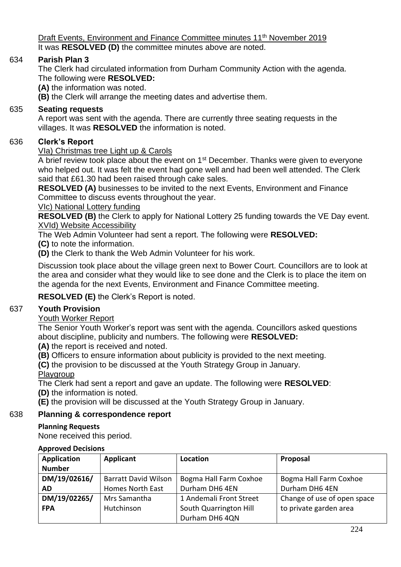Draft Events, Environment and Finance Committee minutes 11<sup>th</sup> November 2019 It was **RESOLVED (D)** the committee minutes above are noted.

## 634 **Parish Plan 3**

The Clerk had circulated information from Durham Community Action with the agenda. The following were **RESOLVED:** 

**(A)** the information was noted.

**(B)** the Clerk will arrange the meeting dates and advertise them.

#### 635 **Seating requests**

A report was sent with the agenda. There are currently three seating requests in the villages. It was **RESOLVED** the information is noted.

#### 636 **Clerk's Report**

#### VIa) Christmas tree Light up & Carols

A brief review took place about the event on 1<sup>st</sup> December. Thanks were given to everyone who helped out. It was felt the event had gone well and had been well attended. The Clerk said that £61.30 had been raised through cake sales.

**RESOLVED (A)** businesses to be invited to the next Events, Environment and Finance Committee to discuss events throughout the year.

VIc) National Lottery funding

**RESOLVED (B)** the Clerk to apply for National Lottery 25 funding towards the VE Day event. XVId) Website Accessibility

The Web Admin Volunteer had sent a report. The following were **RESOLVED:** 

**(C)** to note the information.

**(D)** the Clerk to thank the Web Admin Volunteer for his work.

Discussion took place about the village green next to Bower Court. Councillors are to look at the area and consider what they would like to see done and the Clerk is to place the item on the agenda for the next Events, Environment and Finance Committee meeting.

**RESOLVED (E)** the Clerk's Report is noted.

## 637 **Youth Provision**

#### Youth Worker Report

The Senior Youth Worker's report was sent with the agenda. Councillors asked questions about discipline, publicity and numbers. The following were **RESOLVED:**

**(A)** the report is received and noted.

**(B)** Officers to ensure information about publicity is provided to the next meeting.

**(C)** the provision to be discussed at the Youth Strategy Group in January.

Playgroup

The Clerk had sent a report and gave an update. The following were **RESOLVED**:

**(D)** the information is noted.

**(E)** the provision will be discussed at the Youth Strategy Group in January.

# 638 **Planning & correspondence report**

# **Planning Requests**

None received this period.

## **Approved Decisions**

| <b>Application</b> | Applicant                   | Location                | Proposal                    |
|--------------------|-----------------------------|-------------------------|-----------------------------|
| <b>Number</b>      |                             |                         |                             |
| DM/19/02616/       | <b>Barratt David Wilson</b> | Bogma Hall Farm Coxhoe  | Bogma Hall Farm Coxhoe      |
| AD                 | Homes North East            | Durham DH6 4EN          | Durham DH6 4EN              |
| DM/19/02265/       | Mrs Samantha                | 1 Andemali Front Street | Change of use of open space |
| <b>FPA</b>         | Hutchinson                  | South Quarrington Hill  | to private garden area      |
|                    |                             | Durham DH6 4QN          |                             |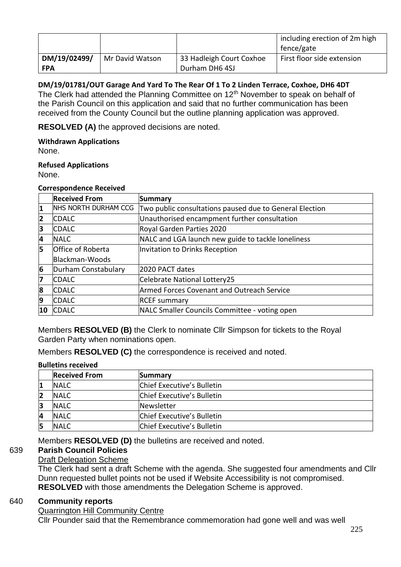|              |                 |                          | including erection of 2m high<br>fence/gate |
|--------------|-----------------|--------------------------|---------------------------------------------|
| DM/19/02499/ | Mr David Watson | 33 Hadleigh Court Coxhoe | First floor side extension                  |
| <b>FPA</b>   |                 | Durham DH6 4SJ           |                                             |

**DM/19/01781/OUT Garage And Yard To The Rear Of 1 To 2 Linden Terrace, Coxhoe, DH6 4DT** The Clerk had attended the Planning Committee on 12<sup>th</sup> November to speak on behalf of the Parish Council on this application and said that no further communication has been received from the County Council but the outline planning application was approved.

**RESOLVED (A)** the approved decisions are noted.

#### **Withdrawn Applications**

None.

#### **Refused Applications**

None.

#### **Correspondence Received**

|           | <b>Received From</b>        | Summary                                                 |
|-----------|-----------------------------|---------------------------------------------------------|
| 11        | <b>NHS NORTH DURHAM CCG</b> | Two public consultations paused due to General Election |
| 12        | <b>CDALC</b>                | Unauthorised encampment further consultation            |
| 3         | <b>CDALC</b>                | Royal Garden Parties 2020                               |
| 4         | <b>INALC</b>                | NALC and LGA launch new guide to tackle loneliness      |
| 15        | Office of Roberta           | Invitation to Drinks Reception                          |
|           | Blackman-Woods              |                                                         |
| 6         | Durham Constabulary         | 2020 PACT dates                                         |
| 17        | <b>CDALC</b>                | Celebrate National Lottery25                            |
| 8         | <b>CDALC</b>                | <b>Armed Forces Covenant and Outreach Service</b>       |
| 19        | <b>CDALC</b>                | <b>RCEF</b> summary                                     |
| <b>10</b> | <b>CDALC</b>                | NALC Smaller Councils Committee - voting open           |

Members **RESOLVED (B)** the Clerk to nominate Cllr Simpson for tickets to the Royal Garden Party when nominations open.

Members **RESOLVED (C)** the correspondence is received and noted.

#### **Bulletins received**

|    | <b>Received From</b> | <b>Summary</b>             |
|----|----------------------|----------------------------|
|    | <b>NALC</b>          | Chief Executive's Bulletin |
| 12 | <b>NALC</b>          | Chief Executive's Bulletin |
| 13 | <b>NALC</b>          | Newsletter                 |
| 4  | <b>INALC</b>         | Chief Executive's Bulletin |
| 15 | <b>INALC</b>         | Chief Executive's Bulletin |

Members **RESOLVED (D)** the bulletins are received and noted.

#### 639 **Parish Council Policies** Draft Delegation Scheme

The Clerk had sent a draft Scheme with the agenda. She suggested four amendments and Cllr Dunn requested bullet points not be used if Website Accessibility is not compromised. **RESOLVED** with those amendments the Delegation Scheme is approved.

#### 640 **Community reports**

Quarrington Hill Community Centre

Cllr Pounder said that the Remembrance commemoration had gone well and was well